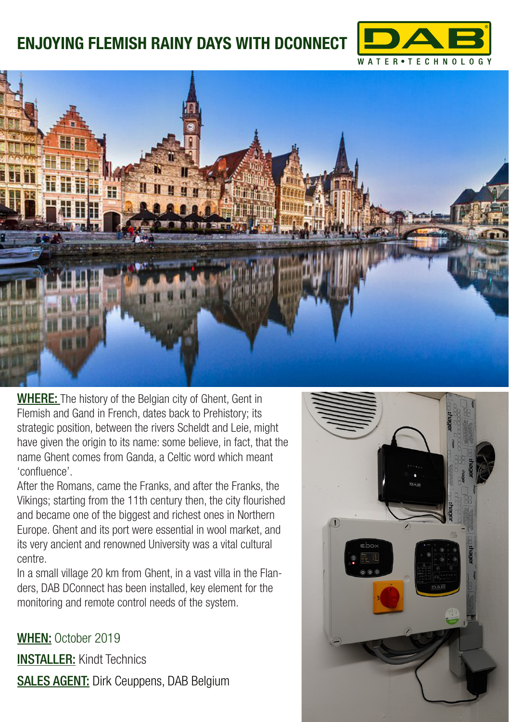## **ENJOYING FLEMISH RAINY DAYS WITH DCONNECT**





WHERE: The history of the Belgian city of Ghent, Gent in Flemish and Gand in French, dates back to Prehistory; its strategic position, between the rivers Scheldt and Leie, might have given the origin to its name: some believe, in fact, that the name Ghent comes from Ganda, a Celtic word which meant 'confluence'.

After the Romans, came the Franks, and after the Franks, the Vikings; starting from the 11th century then, the city flourished and became one of the biggest and richest ones in Northern Europe. Ghent and its port were essential in wool market, and its very ancient and renowned University was a vital cultural centre.

In a small village 20 km from Ghent, in a vast villa in the Flanders, DAB DConnect has been installed, key element for the monitoring and remote control needs of the system.

WHEN: October 2019 INSTALLER: Kindt Technics SALES AGENT: Dirk Ceuppens, DAB Belgium